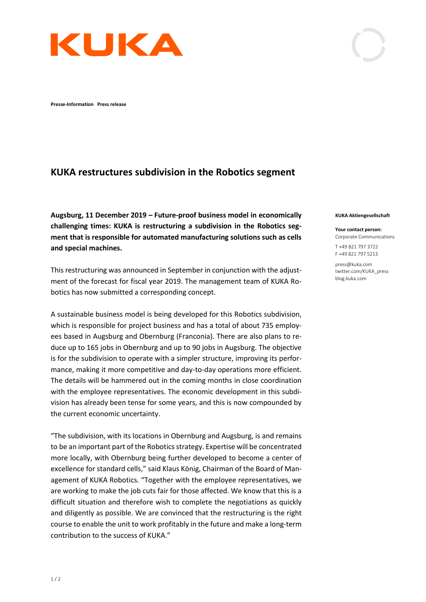

**Presse-Information Press release** 

## **KUKA restructures subdivision in the Robotics segment**

**Augsburg, 11 December 2019 – Future-proof business model in economically challenging times: KUKA is restructuring a subdivision in the Robotics segment that is responsible for automated manufacturing solutions such as cells and special machines.** 

This restructuring was announced in September in conjunction with the adjustment of the forecast for fiscal year 2019. The management team of KUKA Robotics has now submitted a corresponding concept.

A sustainable business model is being developed for this Robotics subdivision, which is responsible for project business and has a total of about 735 employees based in Augsburg and Obernburg (Franconia). There are also plans to reduce up to 165 jobs in Obernburg and up to 90 jobs in Augsburg. The objective is for the subdivision to operate with a simpler structure, improving its performance, making it more competitive and day-to-day operations more efficient. The details will be hammered out in the coming months in close coordination with the employee representatives. The economic development in this subdivision has already been tense for some years, and this is now compounded by the current economic uncertainty.

"The subdivision, with its locations in Obernburg and Augsburg, is and remains to be an important part of the Robotics strategy. Expertise will be concentrated more locally, with Obernburg being further developed to become a center of excellence for standard cells," said Klaus König, Chairman of the Board of Management of KUKA Robotics. "Together with the employee representatives, we are working to make the job cuts fair for those affected. We know that this is a difficult situation and therefore wish to complete the negotiations as quickly and diligently as possible. We are convinced that the restructuring is the right course to enable the unit to work profitably in the future and make a long-term contribution to the success of KUKA."

## **KUKA Aktiengesellschaft**

**Your contact person:** Corporate Communications

T +49 821 797 3722 F +49 821 797 5213

press@kuka.com twitter.com/KUKA\_press blog.kuka.com